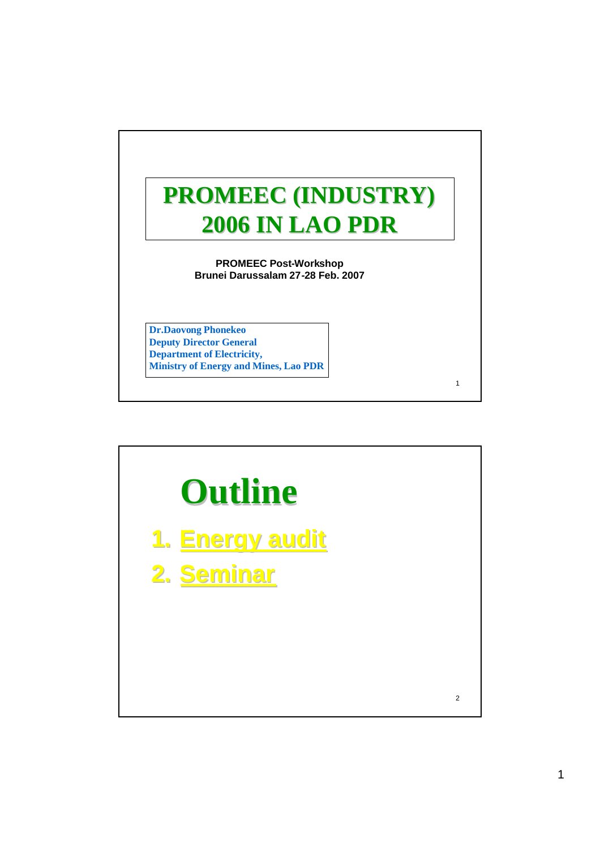

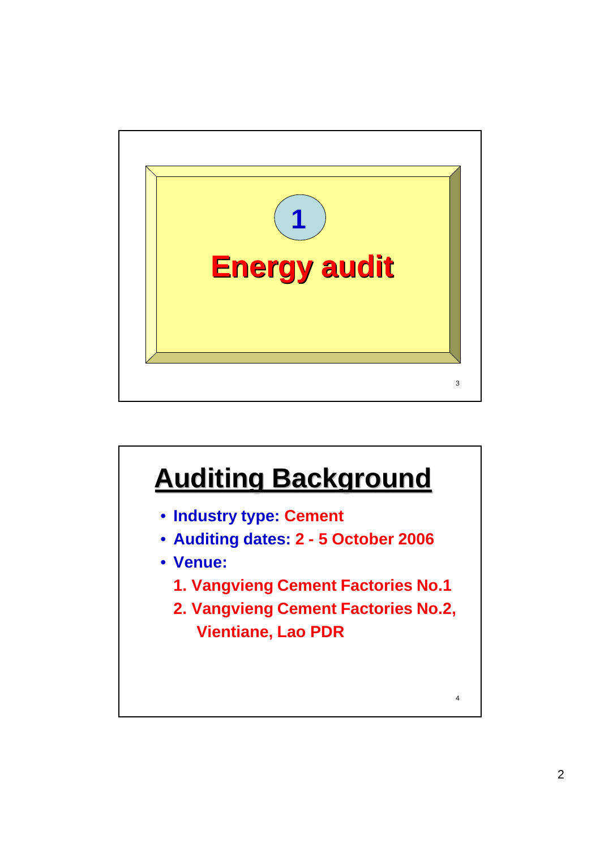

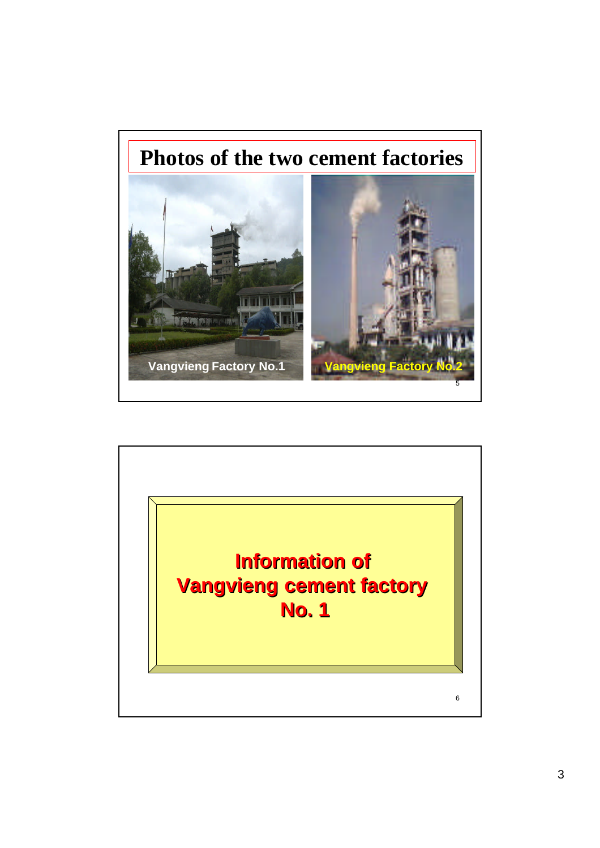

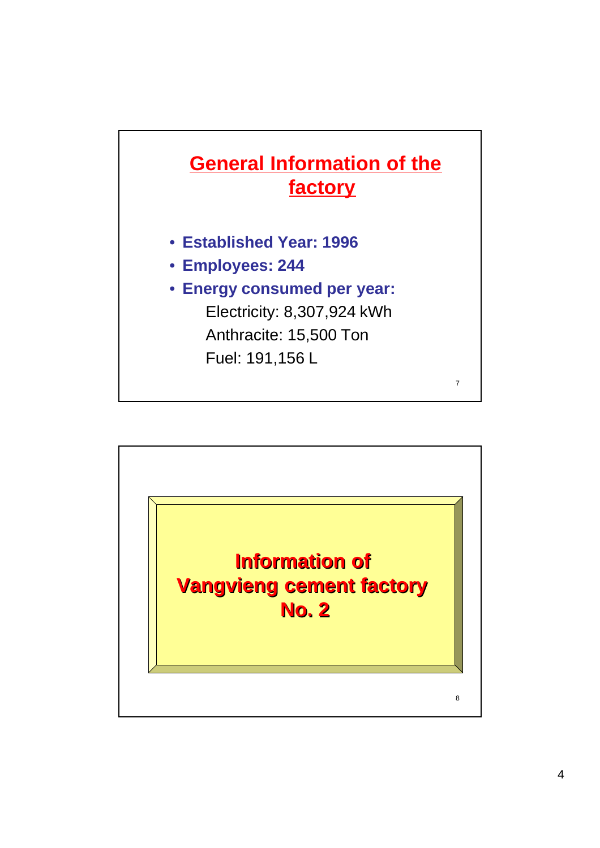

- **Established Year: 1996**
- **Employees: 244**
- **Energy consumed per year:** Electricity: 8,307,924 kWh Anthracite: 15,500 Ton Fuel: 191,156 L

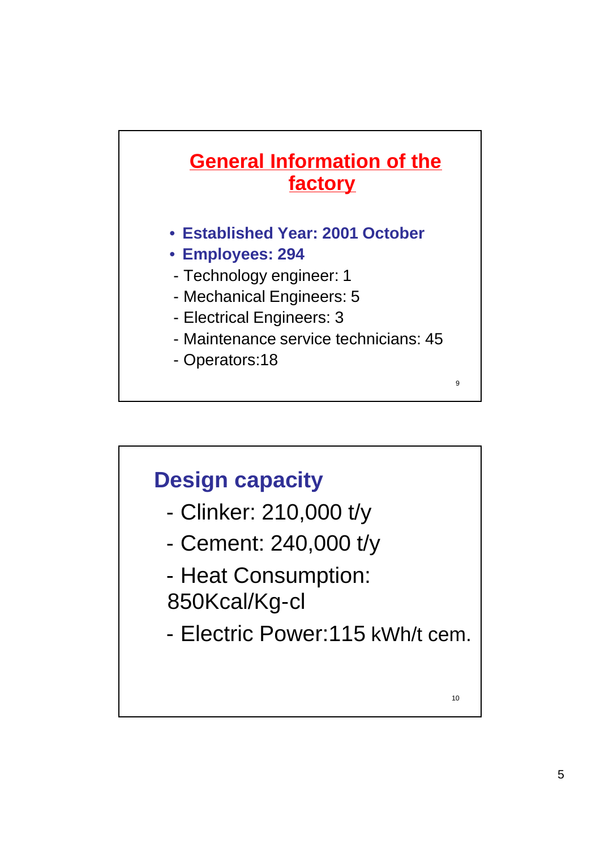

- **Established Year: 2001 October**
- **Employees: 294**
- Technology engineer: 1
- Mechanical Engineers: 5
- Electrical Engineers: 3
- Maintenance service technicians: 45

- Operators:18

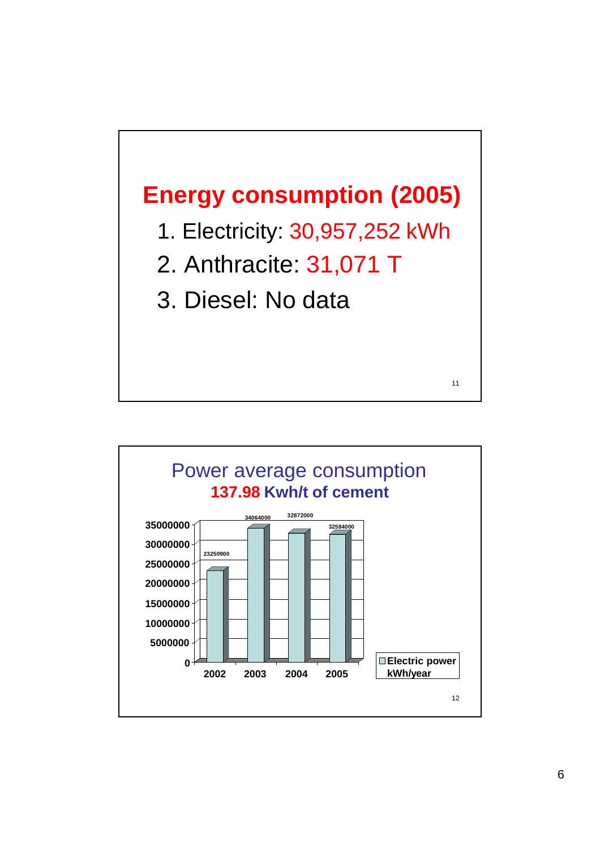

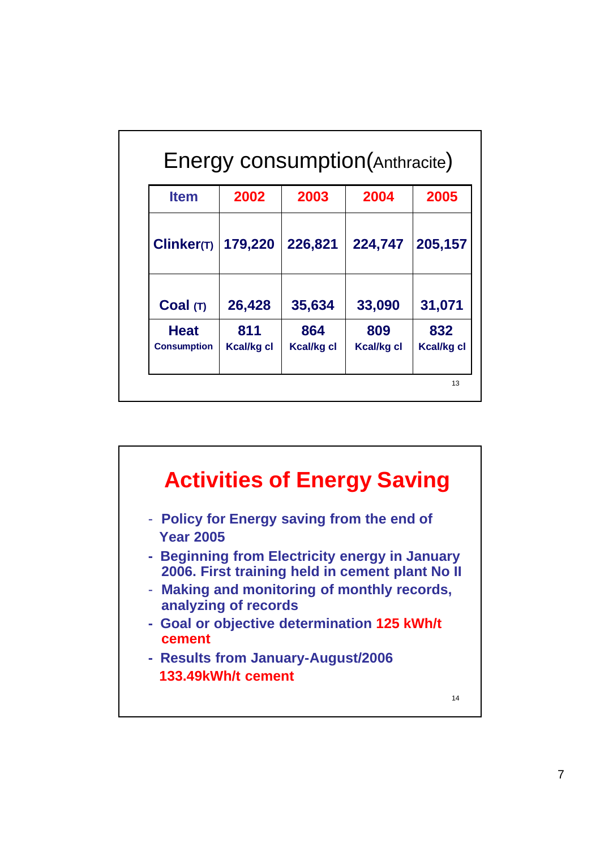| <b>Item</b>                       | 2002                     | 2003                     | 2004              | 2005              |
|-----------------------------------|--------------------------|--------------------------|-------------------|-------------------|
| Clinker(T)                        | 179,220                  | 226,821                  | 224,747           | 205,157           |
| Coal(T)                           | 26,428                   | 35,634                   | 33,090            | 31,071            |
| <b>Heat</b><br><b>Consumption</b> | 811<br><b>Kcal/kg cl</b> | 864<br><b>Kcal/kg cl</b> | 809<br>Kcal/kg cl | 832<br>Kcal/kg cl |

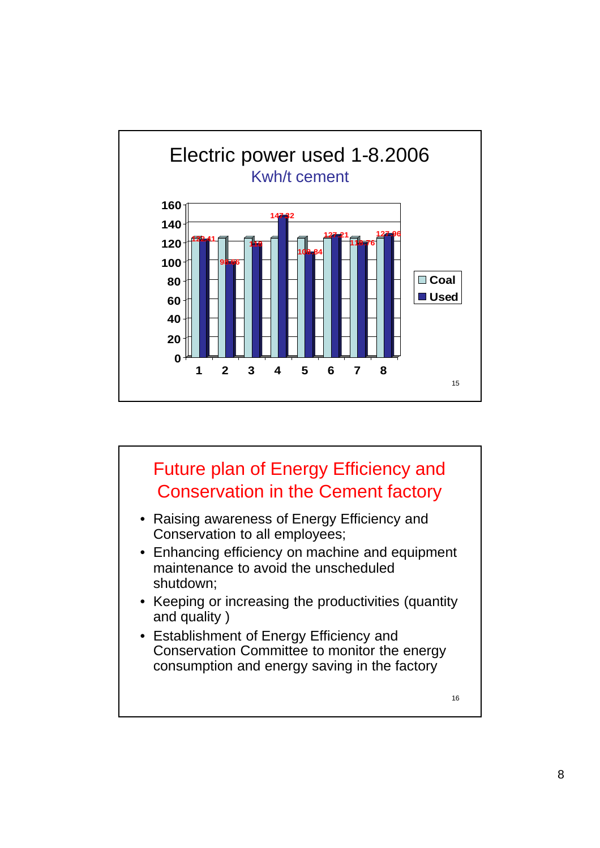

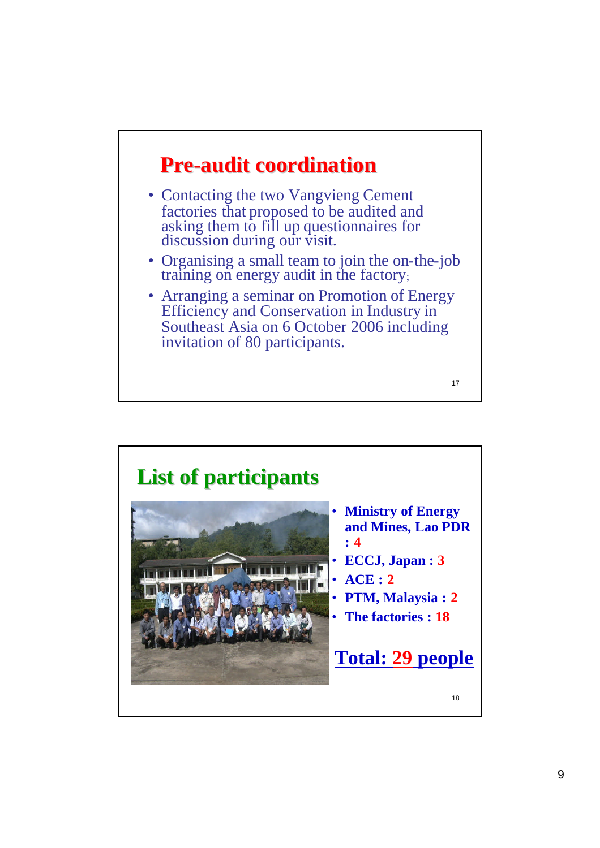

- Contacting the two Vangvieng Cement factories that proposed to be audited and asking them to fill up questionnaires for discussion during our visit.
- Organising a small team to join the on-the-job training on energy audit in the factory;
- Arranging a seminar on Promotion of Energy Efficiency and Conservation in Industry in Southeast Asia on 6 October 2006 including invitation of 80 participants.

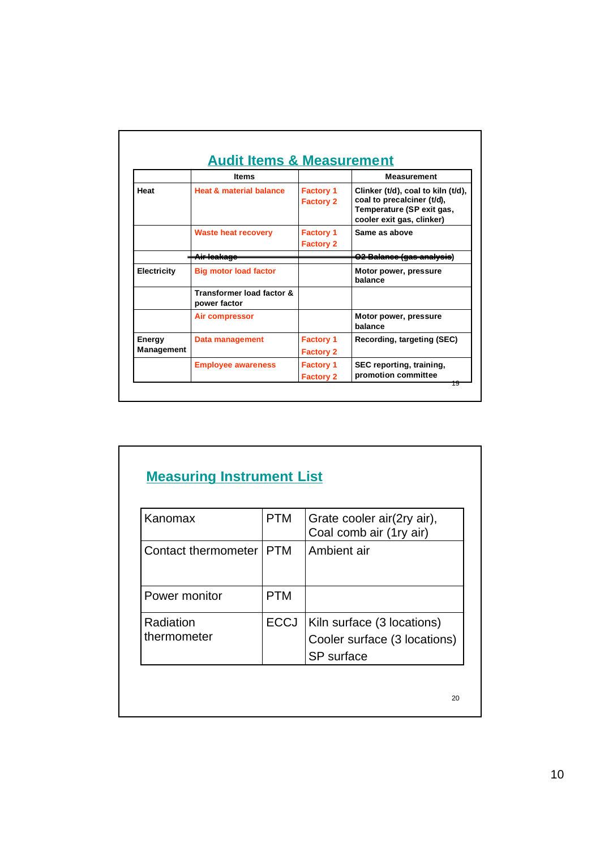|                                    | <b>Items</b>                              |                                      | <b>Measurement</b>                                                                                                         |
|------------------------------------|-------------------------------------------|--------------------------------------|----------------------------------------------------------------------------------------------------------------------------|
| Heat                               | <b>Heat &amp; material balance</b>        | <b>Factory 1</b><br><b>Factory 2</b> | Clinker (t/d), coal to kiln (t/d),<br>coal to precalciner (t/d),<br>Temperature (SP exit gas,<br>cooler exit gas, clinker) |
|                                    | <b>Waste heat recovery</b>                | <b>Factory 1</b><br><b>Factory 2</b> | Same as above                                                                                                              |
|                                    | <del>Air leakaac</del>                    |                                      | <del>O2 Balance (gas analysis</del> )                                                                                      |
| <b>Electricity</b>                 | <b>Big motor load factor</b>              |                                      | Motor power, pressure<br>balance                                                                                           |
|                                    | Transformer load factor &<br>power factor |                                      |                                                                                                                            |
|                                    | Air compressor                            |                                      | Motor power, pressure<br>halance                                                                                           |
| <b>Energy</b><br><b>Management</b> | Data management                           | <b>Factory 1</b><br><b>Factory 2</b> | Recording, targeting (SEC)                                                                                                 |
|                                    | <b>Employee awareness</b>                 | <b>Factory 1</b><br><b>Factory 2</b> | SEC reporting, training,<br>promotion committee                                                                            |

## **Measuring Instrument List**

| Kanomax                  | <b>PTM</b>  | Grate cooler air(2ry air),<br>Coal comb air (1ry air)                    |
|--------------------------|-------------|--------------------------------------------------------------------------|
| Contact thermometer      | <b>PTM</b>  | Ambient air                                                              |
| Power monitor            | <b>PTM</b>  |                                                                          |
| Radiation<br>thermometer | <b>ECCJ</b> | Kiln surface (3 locations)<br>Cooler surface (3 locations)<br>SP surface |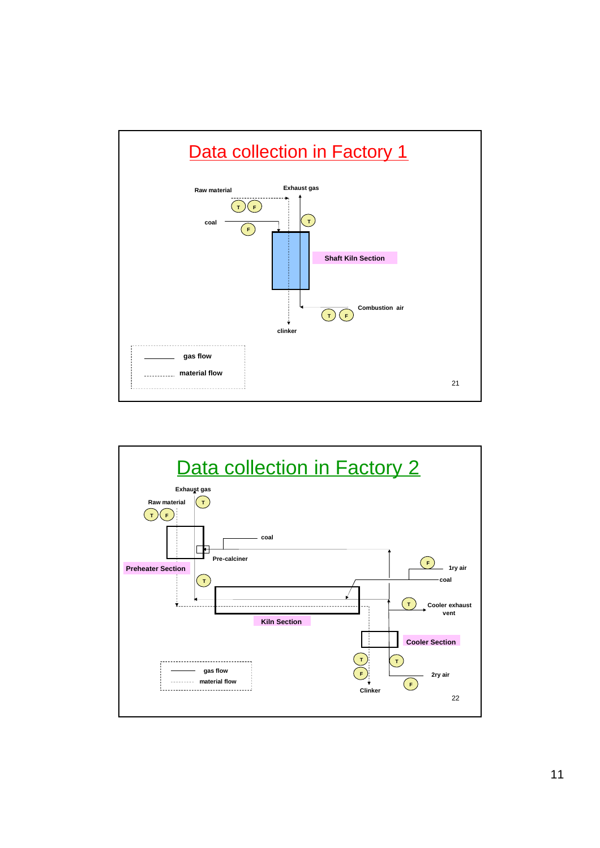

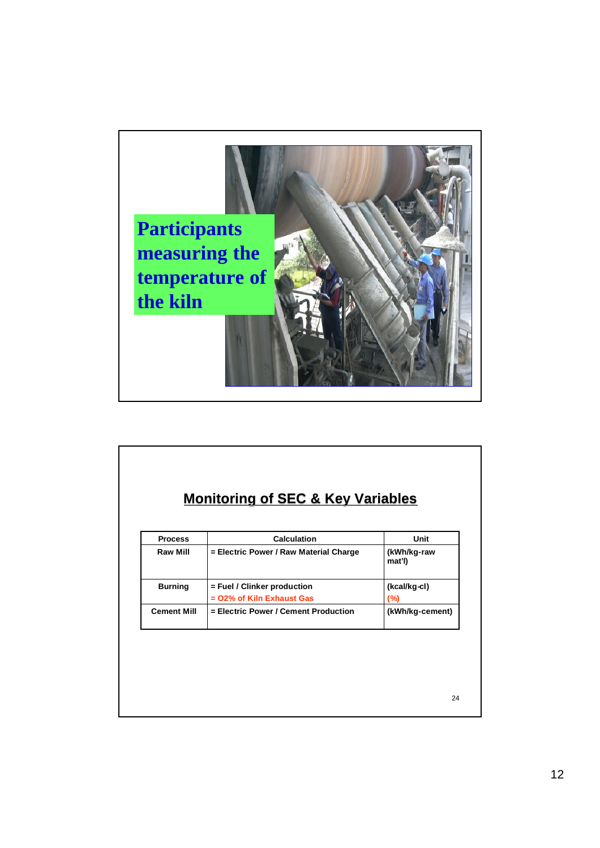

| <b>Monitoring of SEC &amp; Key Variables</b> |  |  |
|----------------------------------------------|--|--|
|                                              |  |  |

| <b>Process</b>     | <b>Calculation</b>                     | Unit                  |
|--------------------|----------------------------------------|-----------------------|
| <b>Raw Mill</b>    | = Electric Power / Raw Material Charge | (kWh/kg-raw<br>mat'l) |
| <b>Burning</b>     | = Fuel / Clinker production            | (kcal/kg-cl)          |
|                    | = 02% of Kiln Exhaust Gas              | (%)                   |
| <b>Cement Mill</b> | = Electric Power / Cement Production   | (kWh/kg-cement)       |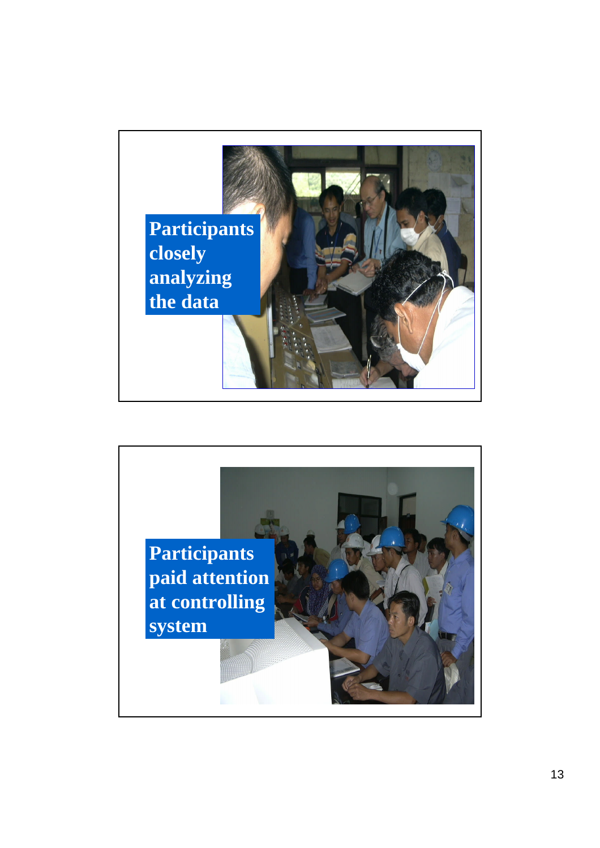

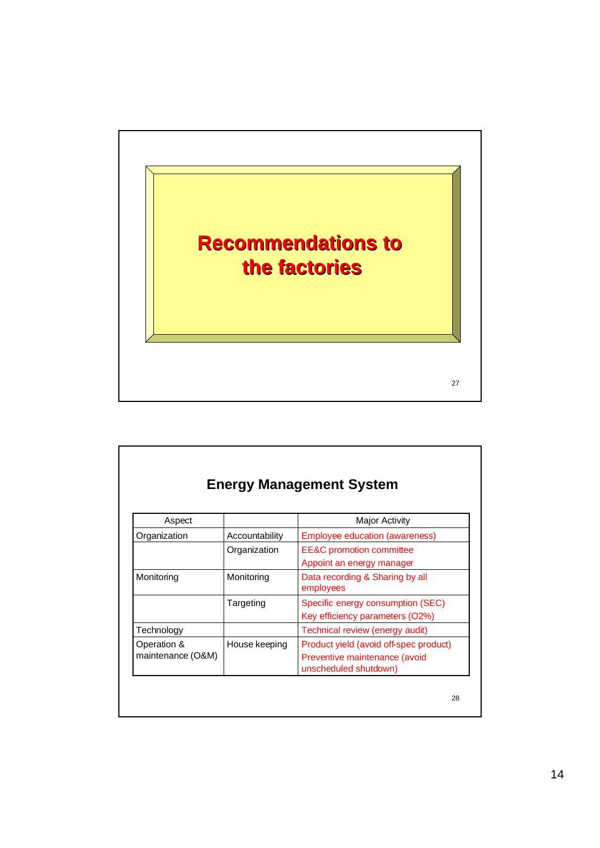

| Aspect            |                | <b>Major Activity</b>                                                |
|-------------------|----------------|----------------------------------------------------------------------|
| Organization      | Accountability | Employee education (awareness)                                       |
|                   | Organization   | <b>EE&amp;C</b> promotion committee                                  |
|                   |                | Appoint an energy manager                                            |
| Monitoring        | Monitoring     | Data recording & Sharing by all<br>employees                         |
|                   | Targeting      | Specific energy consumption (SEC)<br>Key efficiency parameters (O2%) |
| Technology        |                | Technical review (energy audit)                                      |
| Operation &       | House keeping  | Product yield (avoid off-spec product)                               |
| maintenance (O&M) |                | Preventive maintenance (avoid<br>unscheduled shutdown)               |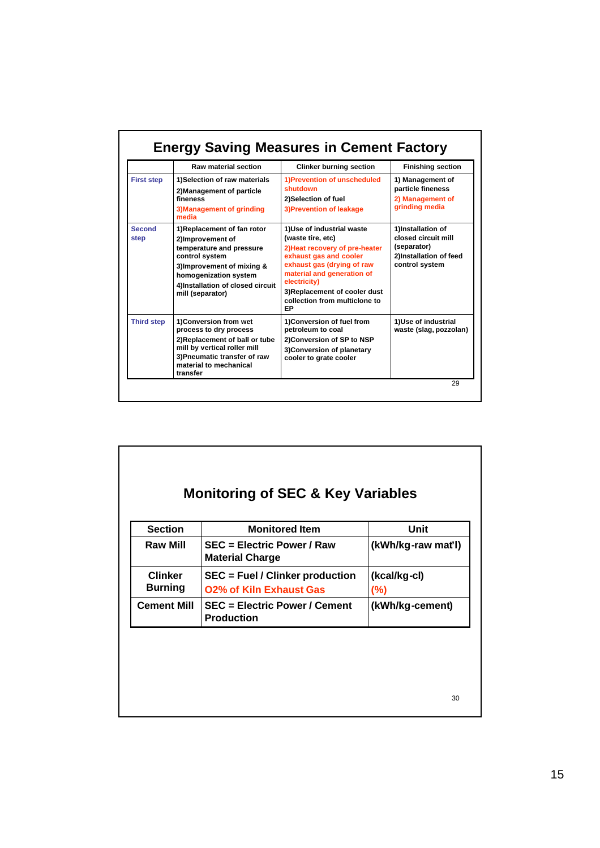|                   | <b>Raw material section</b>                                                                                                                                                                                 | <b>Clinker burning section</b>                                                                                                                                                                                                                                 | <b>Finishing section</b>                                                                            |
|-------------------|-------------------------------------------------------------------------------------------------------------------------------------------------------------------------------------------------------------|----------------------------------------------------------------------------------------------------------------------------------------------------------------------------------------------------------------------------------------------------------------|-----------------------------------------------------------------------------------------------------|
| <b>First step</b> | 1)Selection of raw materials<br>2) Management of particle<br>fineness<br>3) Management of grinding<br>media                                                                                                 | 1) Prevention of unscheduled<br>shutdown<br>2)Selection of fuel<br>3) Prevention of leakage                                                                                                                                                                    | 1) Management of<br>particle fineness<br>2) Management of<br>grinding media                         |
| Second<br>step    | 1)Replacement of fan rotor<br>2)Improvement of<br>temperature and pressure<br>control system<br>3) Improvement of mixing &<br>homogenization system<br>4)Installation of closed circuit<br>mill (separator) | 1)Use of industrial waste<br>(waste tire, etc)<br>2) Heat recovery of pre-heater<br>exhaust gas and cooler<br>exhaust gas (drying of raw<br>material and generation of<br>electricity)<br>3) Replacement of cooler dust<br>collection from multiclone to<br>EP | 1)Installation of<br>closed circuit mill<br>(separator)<br>2)Installation of feed<br>control system |
| <b>Third step</b> | 1) Conversion from wet<br>process to dry process<br>2)Replacement of ball or tube<br>mill by vertical roller mill<br>3) Pneumatic transfer of raw<br>material to mechanical<br>transfer                     | 1) Conversion of fuel from<br>petroleum to coal<br>2)Conversion of SP to NSP<br>3) Conversion of planetary<br>cooler to grate cooler                                                                                                                           | 1)Use of industrial<br>waste (slag, pozzolan)                                                       |

| <b>Raw Mill</b>                  | <b>SEC = Electric Power / Raw</b>                                 |                        |
|----------------------------------|-------------------------------------------------------------------|------------------------|
|                                  | <b>Material Charge</b>                                            | (kWh/kg-raw mat'l)     |
| <b>Clinker</b><br><b>Burning</b> | SEC = Fuel / Clinker production<br><b>O2% of Kiln Exhaust Gas</b> | (kcal/kg-cl)<br>$(\%)$ |
| <b>Cement Mill</b>               | <b>SEC = Electric Power / Cement</b><br><b>Production</b>         | (kWh/kg-cement)        |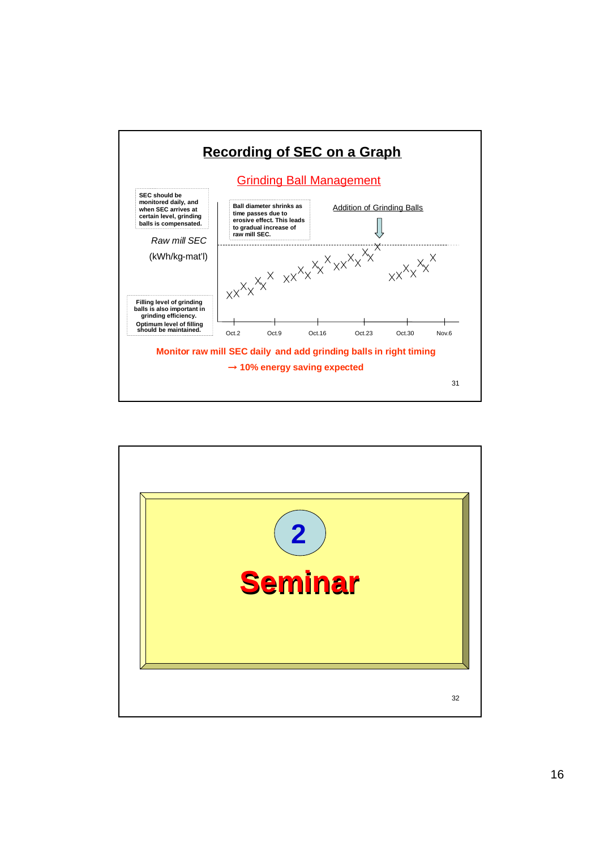

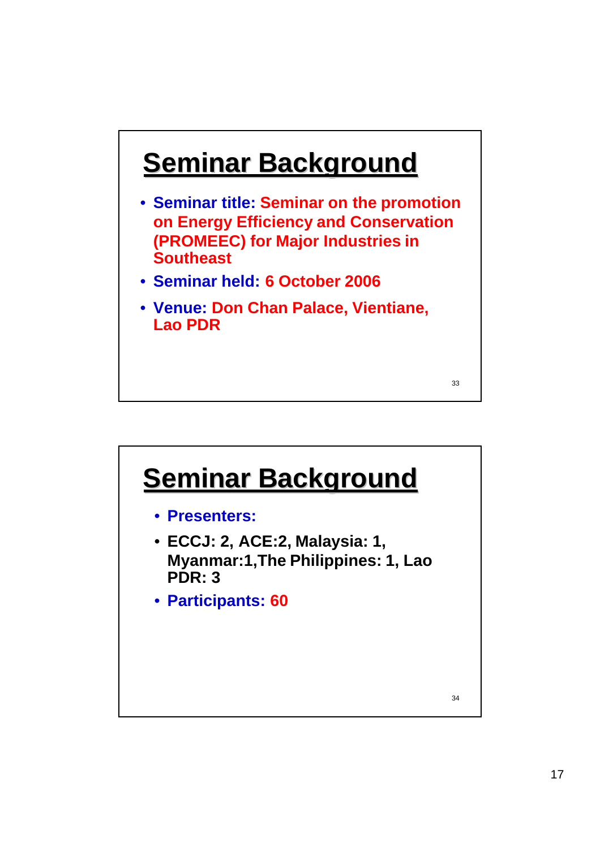## **Seminar Background**

- **Seminar title: Seminar on the promotion on Energy Efficiency and Conservation (PROMEEC) for Major Industries in Southeast**
- **Seminar held: 6 October 2006**
- **Venue: Don Chan Palace, Vientiane, Lao PDR**

33

## **Seminar Background**

- **Presenters:**
- **ECCJ: 2, ACE:2, Malaysia: 1, Myanmar:1,The Philippines: 1, Lao PDR: 3**
- **Participants: 60**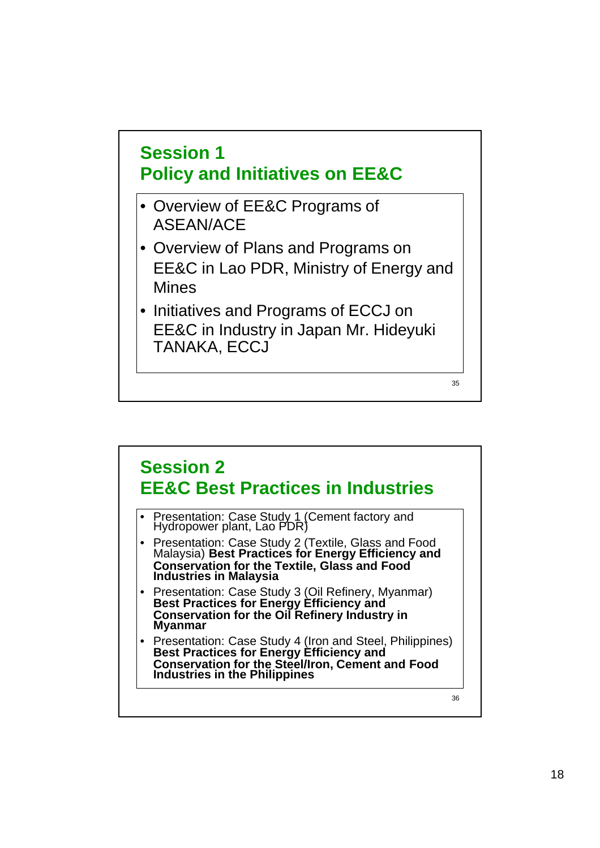

• Initiatives and Programs of ECCJ on EE&C in Industry in Japan Mr. Hideyuki TANAKA, ECCJ

35

36 **Session 2 EE&C Best Practices in Industries** • Presentation: Case Study 1 (Cement factory and Hydropower plant, Lao PDR) • Presentation: Case Study 2 (Textile, Glass and Food Malaysia) **Best Practices for Energy Efficiency and Conservation for the Textile, Glass and Food Industries in Malaysia** • Presentation: Case Study 3 (Oil Refinery, Myanmar) **Best Practices for Energy Efficiency and Conservation for the Oil Refinery Industry in Myanmar** • Presentation: Case Study 4 (Iron and Steel, Philippines) **Best Practices for Energy Efficiency and Conservation for the Steel/Iron, Cement and Food Industries in the Philippines**